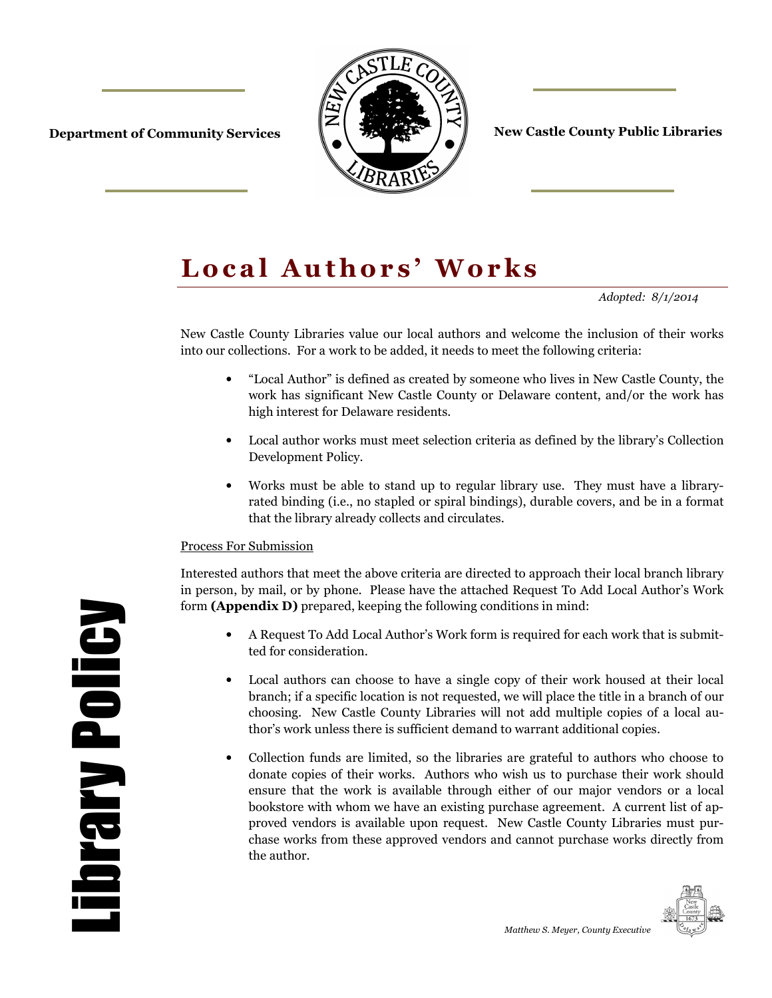

**Department of Community Services**  $\|\cdot\|$  **and**  $\|\cdot\|$  **are County Public Libraries** 

# Local Authors' Works

*Adopted: 8/1/2014* 

New Castle County Libraries value our local authors and welcome the inclusion of their works into our collections. For a work to be added, it needs to meet the following criteria:

- "Local Author" is defined as created by someone who lives in New Castle County, the work has significant New Castle County or Delaware content, and/or the work has high interest for Delaware residents.
- Local author works must meet selection criteria as defined by the library's Collection Development Policy.
- Works must be able to stand up to regular library use. They must have a libraryrated binding (i.e., no stapled or spiral bindings), durable covers, and be in a format that the library already collects and circulates.

#### Process For Submission

Interested authors that meet the above criteria are directed to approach their local branch library in person, by mail, or by phone. Please have the attached Request To Add Local Author's Work form **(Appendix D)** prepared, keeping the following conditions in mind:

- A Request To Add Local Author's Work form is required for each work that is submitted for consideration.
- Local authors can choose to have a single copy of their work housed at their local branch; if a specific location is not requested, we will place the title in a branch of our choosing. New Castle County Libraries will not add multiple copies of a local author's work unless there is sufficient demand to warrant additional copies.
- Collection funds are limited, so the libraries are grateful to authors who choose to donate copies of their works. Authors who wish us to purchase their work should ensure that the work is available through either of our major vendors or a local bookstore with whom we have an existing purchase agreement. A current list of approved vendors is available upon request. New Castle County Libraries must purchase works from these approved vendors and cannot purchase works directly from the author.



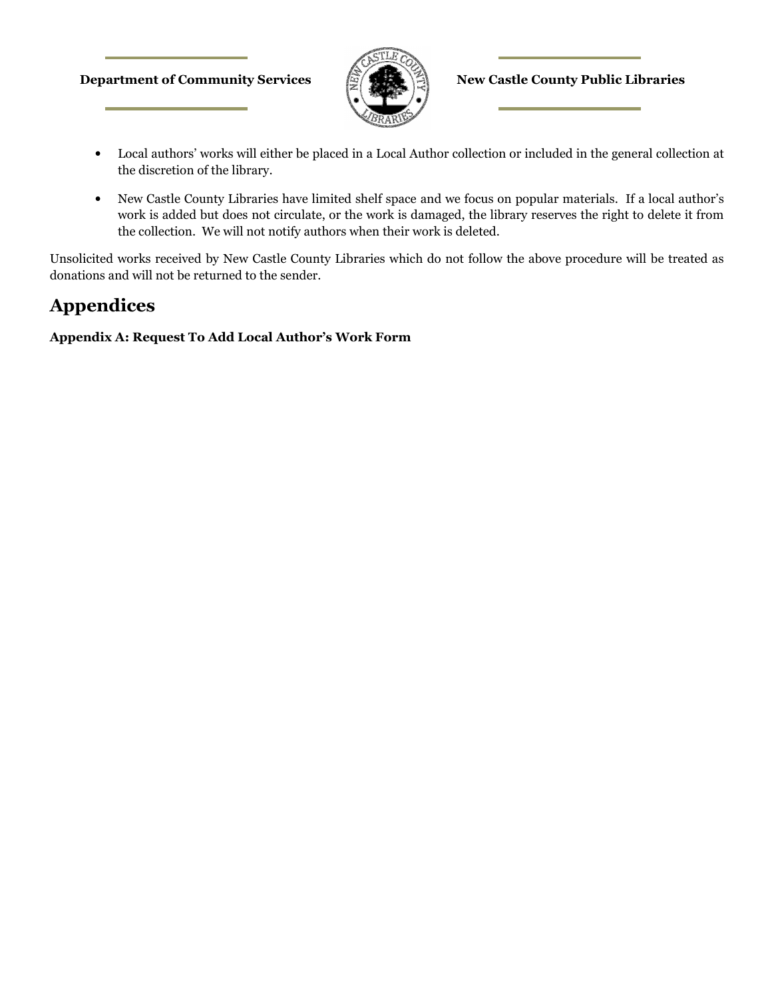#### **Department of Community Services**  $\mathbb{E}(\mathbb{E}|\mathbb{E})$  **New Castle County Public Libraries**



- Local authors' works will either be placed in a Local Author collection or included in the general collection at the discretion of the library.
- New Castle County Libraries have limited shelf space and we focus on popular materials. If a local author's work is added but does not circulate, or the work is damaged, the library reserves the right to delete it from the collection. We will not notify authors when their work is deleted.

Unsolicited works received by New Castle County Libraries which do not follow the above procedure will be treated as donations and will not be returned to the sender.

## **Appendices**

**Appendix A: Request To Add Local Author's Work Form**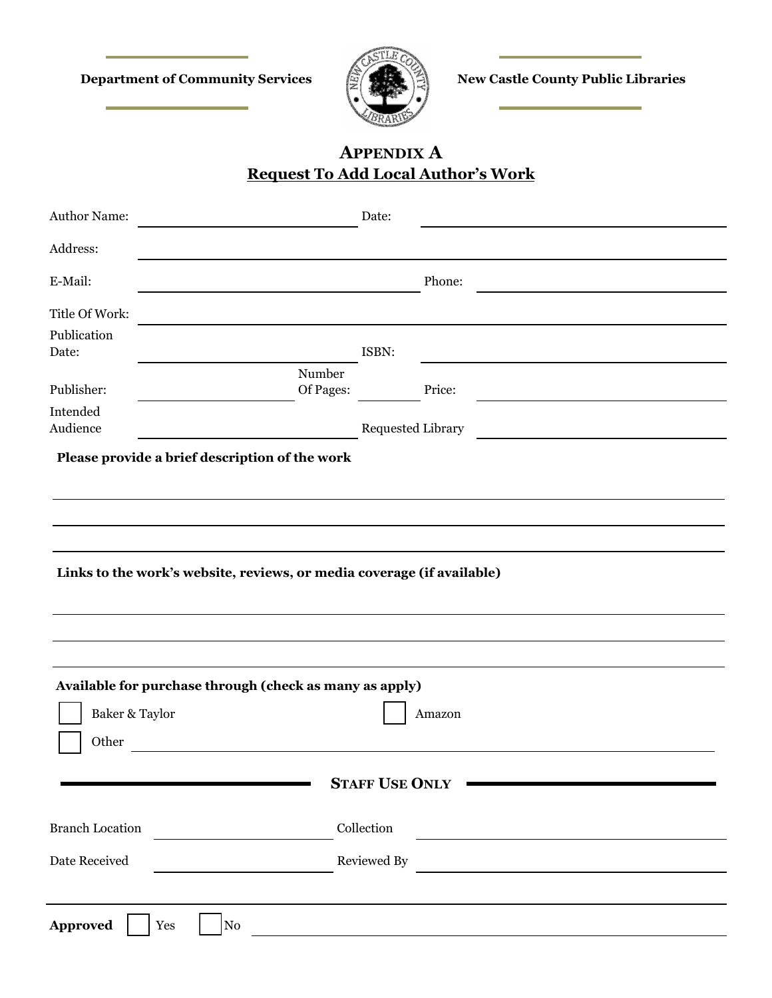**Department of Community Services**  $\mathbb{E}(\mathbb{E})$  **New Castle County Public Libraries** 



## **APPENDIX A Request To Add Local Author's Work**

| Author Name:                                   | Date:                                                                    |  |
|------------------------------------------------|--------------------------------------------------------------------------|--|
| Address:                                       |                                                                          |  |
| E-Mail:                                        | Phone:                                                                   |  |
| Title Of Work:                                 |                                                                          |  |
| Publication<br>Date:                           | ISBN:                                                                    |  |
| Publisher:                                     | Number<br>Of Pages:<br>Price:                                            |  |
| Intended<br>Audience                           | <b>Requested Library</b>                                                 |  |
| Please provide a brief description of the work |                                                                          |  |
|                                                |                                                                          |  |
|                                                |                                                                          |  |
|                                                | Links to the work's website, reviews, or media coverage (if available)   |  |
|                                                |                                                                          |  |
| Baker & Taylor<br>Other                        | Available for purchase through (check as many as apply)<br>Amazon        |  |
|                                                | <b>STAFF USE ONLY</b>                                                    |  |
| <b>Branch Location</b>                         | Collection                                                               |  |
| Date Received                                  | Reviewed By<br><u> 1989 - Andrea Station Books, amerikansk politik (</u> |  |
|                                                |                                                                          |  |
| <b>Approved</b><br>Yes<br>${\rm No}$           |                                                                          |  |